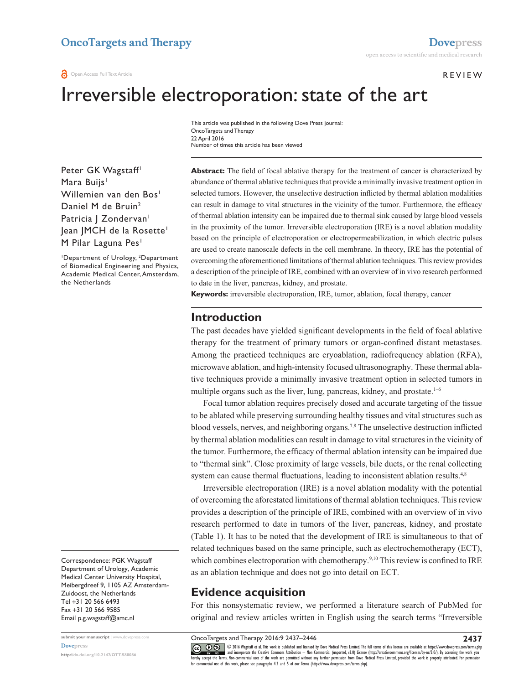**O** Open Access Full Text Article

Review

# Irreversible electroporation: state of the art

Number of times this article has been viewed This article was published in the following Dove Press journal: OncoTargets and Therapy 22 April 2016

Peter GK Wagstaff<sup>1</sup> Mara Buijs<sup>1</sup> Willemien van den Bos<sup>1</sup> Daniel M de Bruin<sup>2</sup> Patricia | Zondervan<sup>1</sup> Jean JMCH de la Rosette<sup>1</sup> M Pilar Laguna Pes<sup>1</sup>

<sup>1</sup>Department of Urology, <sup>2</sup>Department of Biomedical Engineering and Physics, Academic Medical Center, Amsterdam, the Netherlands

Correspondence: PGK Wagstaff Department of Urology, Academic Medical Center University Hospital, Meibergdreef 9, 1105 AZ Amsterdam-Zuidoost, the Netherlands Tel +31 20 566 6493 Fax +31 20 566 9585 Email [p.g.wagstaff@amc.nl](mailto:p.g.wagstaff@amc.nl)

**submit your manuscript** | <www.dovepress.com> **[Dovepress](www.dovepress.com)**

**<http://dx.doi.org/10.2147/OTT.S88086>**

**Abstract:** The field of focal ablative therapy for the treatment of cancer is characterized by abundance of thermal ablative techniques that provide a minimally invasive treatment option in selected tumors. However, the unselective destruction inflicted by thermal ablation modalities can result in damage to vital structures in the vicinity of the tumor. Furthermore, the efficacy of thermal ablation intensity can be impaired due to thermal sink caused by large blood vessels in the proximity of the tumor. Irreversible electroporation (IRE) is a novel ablation modality based on the principle of electroporation or electropermeabilization, in which electric pulses are used to create nanoscale defects in the cell membrane. In theory, IRE has the potential of overcoming the aforementioned limitations of thermal ablation techniques. This review provides a description of the principle of IRE, combined with an overview of in vivo research performed to date in the liver, pancreas, kidney, and prostate.

**Keywords:** irreversible electroporation, IRE, tumor, ablation, focal therapy, cancer

## **Introduction**

The past decades have yielded significant developments in the field of focal ablative therapy for the treatment of primary tumors or organ-confined distant metastases. Among the practiced techniques are cryoablation, radiofrequency ablation (RFA), microwave ablation, and high-intensity focused ultrasonography. These thermal ablative techniques provide a minimally invasive treatment option in selected tumors in multiple organs such as the liver, lung, pancreas, kidney, and prostate.<sup>1–6</sup>

Focal tumor ablation requires precisely dosed and accurate targeting of the tissue to be ablated while preserving surrounding healthy tissues and vital structures such as blood vessels, nerves, and neighboring organs.<sup>7,8</sup> The unselective destruction inflicted by thermal ablation modalities can result in damage to vital structures in the vicinity of the tumor. Furthermore, the efficacy of thermal ablation intensity can be impaired due to "thermal sink". Close proximity of large vessels, bile ducts, or the renal collecting system can cause thermal fluctuations, leading to inconsistent ablation results.<sup>4,8</sup>

Irreversible electroporation (IRE) is a novel ablation modality with the potential of overcoming the aforestated limitations of thermal ablation techniques. This review provides a description of the principle of IRE, combined with an overview of in vivo research performed to date in tumors of the liver, pancreas, kidney, and prostate (Table 1). It has to be noted that the development of IRE is simultaneous to that of related techniques based on the same principle, such as electrochemotherapy (ECT), which combines electroporation with chemotherapy.<sup>9,10</sup> This review is confined to IRE as an ablation technique and does not go into detail on ECT.

## **Evidence acquisition**

For this nonsystematic review, we performed a literature search of PubMed for original and review articles written in English using the search terms "Irreversible

OncoTargets and Therapy 2016:9 2437–2446

CCC 1 © 2016 Wagstaff et al. This work is published and licensed by Dove Medical Press Limited. The full terms of this license are available at <https://www.dovepress.com/terms.php><br>[hereby accept the Terms](http://www.dovepress.com/permissions.php). Non-commercial us

**2437**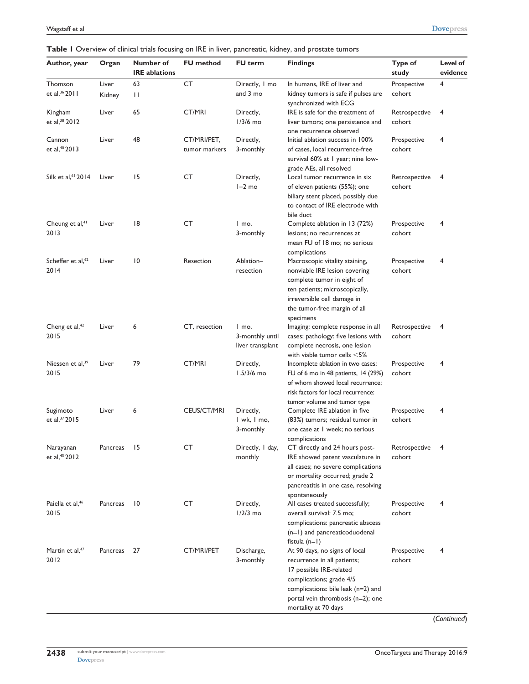#### **Table 1** Overview of clinical trials focusing on IRE in liver, pancreatic, kidney, and prostate tumors

| Author, year                           | Organ           | Number of<br><b>IRE</b> ablations | <b>FU</b> method             | <b>FU</b> term                               | <b>Findings</b>                                                                                                                                                                                                        | Type of<br>study        | Level of<br>evidence |
|----------------------------------------|-----------------|-----------------------------------|------------------------------|----------------------------------------------|------------------------------------------------------------------------------------------------------------------------------------------------------------------------------------------------------------------------|-------------------------|----------------------|
| Thomson<br>et al, 36 2011              | Liver<br>Kidney | 63<br>П                           | CT                           | Directly, I mo<br>and 3 mo                   | In humans, IRE of liver and<br>kidney tumors is safe if pulses are<br>synchronized with ECG                                                                                                                            | Prospective<br>cohort   | 4                    |
| Kingham<br>et al, 38 2012              | Liver           | 65                                | CT/MRI                       | Directly,<br>$1/3/6$ mo                      | IRE is safe for the treatment of<br>liver tumors; one persistence and<br>one recurrence observed                                                                                                                       | Retrospective<br>cohort | 4                    |
| Cannon<br>et al, <sup>40</sup> 2013    | Liver           | 48                                | CT/MRI/PET,<br>tumor markers | Directly,<br>3-monthly                       | Initial ablation success in 100%<br>of cases, local recurrence-free<br>survival 60% at 1 year; nine low-<br>grade AEs, all resolved                                                                                    | Prospective<br>cohort   | 4                    |
| Silk et al, <sup>61</sup> 2014         | Liver           | 15                                | CT                           | Directly,<br>$l-2$ mo                        | Local tumor recurrence in six<br>of eleven patients (55%); one<br>biliary stent placed, possibly due<br>to contact of IRE electrode with<br>bile duct                                                                  | Retrospective<br>cohort | 4                    |
| Cheung et al, <sup>41</sup><br>2013    | Liver           | 18                                | СT                           | I mo,<br>3-monthly                           | Complete ablation in 13 (72%)<br>lesions; no recurrences at<br>mean FU of 18 mo; no serious<br>complications                                                                                                           | Prospective<br>cohort   | 4                    |
| Scheffer et al, <sup>62</sup><br>2014  | Liver           | 10                                | Resection                    | Ablation-<br>resection                       | Macroscopic vitality staining,<br>nonviable IRE lesion covering<br>complete tumor in eight of<br>ten patients; microscopically,<br>irreversible cell damage in<br>the tumor-free margin of all<br>specimens            | Prospective<br>cohort   | 4                    |
| Cheng et al, <sup>42</sup><br>2015     | Liver           | 6                                 | CT, resection                | l mo,<br>3-monthly until<br>liver transplant | Imaging: complete response in all<br>cases; pathology: five lesions with<br>complete necrosis, one lesion<br>with viable tumor cells $<$ 5%                                                                            | Retrospective<br>cohort | 4                    |
| Niessen et al, <sup>39</sup><br>2015   | Liver           | 79                                | CT/MRI                       | Directly,<br>$1.5/3/6$ mo                    | Incomplete ablation in two cases;<br>FU of 6 mo in 48 patients, 14 (29%)<br>of whom showed local recurrence;<br>risk factors for local recurrence:<br>tumor volume and tumor type                                      | Prospective<br>cohort   | 4                    |
| Sugimoto<br>et al, 37 2015             | Liver           | 6                                 | CEUS/CT/MRI                  | Directly,<br>I wk, I mo,<br>3-monthly        | Complete IRE ablation in five<br>(83%) tumors; residual tumor in<br>one case at I week; no serious<br>complications                                                                                                    | Prospective<br>cohort   | 4                    |
| Narayanan<br>et al. <sup>45</sup> 2012 | Pancreas        | 15                                | CT                           | Directly, I day,<br>monthly                  | CT directly and 24 hours post-<br>IRE showed patent vasculature in<br>all cases; no severe complications<br>or mortality occurred; grade 2<br>pancreatitis in one case, resolving<br>spontaneously                     | Retrospective<br>cohort | 4                    |
| Paiella et al, <sup>46</sup><br>2015   | Pancreas        | $\overline{10}$                   | CT                           | Directly,<br>$1/2/3$ mo                      | All cases treated successfully;<br>overall survival: 7.5 mo;<br>complications: pancreatic abscess<br>(n=1) and pancreaticoduodenal<br>fistula $(n=1)$                                                                  | Prospective<br>cohort   | 4                    |
| Martin et al, <sup>47</sup><br>2012    | Pancreas        | 27                                | <b>CT/MRI/PET</b>            | Discharge,<br>3-monthly                      | At 90 days, no signs of local<br>recurrence in all patients;<br>17 possible IRE-related<br>complications; grade 4/5<br>complications: bile leak (n=2) and<br>portal vein thrombosis (n=2); one<br>mortality at 70 days | Prospective<br>cohort   | 4                    |

(*Continued*)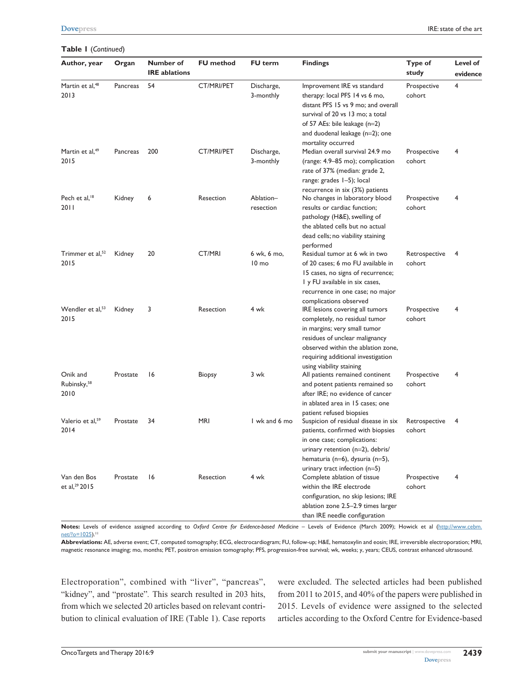#### **Table 1** (*Continued*)

| Author, year                                | Organ    | Number of<br><b>IRE</b> ablations | <b>FU</b> method | <b>FU</b> term          | <b>Findings</b>                                                                                                                                                                                                                                | Type of<br>study        | Level of<br>evidence |
|---------------------------------------------|----------|-----------------------------------|------------------|-------------------------|------------------------------------------------------------------------------------------------------------------------------------------------------------------------------------------------------------------------------------------------|-------------------------|----------------------|
| Martin et al, <sup>48</sup><br>2013         | Pancreas | 54                                | CT/MRI/PET       | Discharge,<br>3-monthly | Improvement IRE vs standard<br>therapy: local PFS 14 vs 6 mo,<br>distant PFS 15 vs 9 mo; and overall<br>survival of 20 vs 13 mo; a total<br>of 57 AEs: bile leakage (n=2)<br>and duodenal leakage $(n=2)$ ; one<br>mortality occurred          | Prospective<br>cohort   | 4                    |
| Martin et al, <sup>49</sup><br>2015         | Pancreas | 200                               | CT/MRI/PET       | Discharge,<br>3-monthly | Median overall survival 24.9 mo<br>(range: 4.9-85 mo); complication<br>rate of 37% (median: grade 2,<br>range: grades 1–5); local                                                                                                              | Prospective<br>cohort   | 4                    |
| Pech et al, <sup>18</sup><br>2011           | Kidney   | 6                                 | Resection        | Ablation-<br>resection  | recurrence in six (3%) patients<br>No changes in laboratory blood<br>results or cardiac function;<br>pathology (H&E), swelling of<br>the ablated cells but no actual<br>dead cells; no viability staining                                      | Prospective<br>cohort   | 4                    |
| Trimmer et al, <sup>52</sup><br>2015        | Kidney   | 20                                | CT/MRI           | 6 wk, 6 mo,<br>10 mo    | performed<br>Residual tumor at 6 wk in two<br>of 20 cases; 6 mo FU available in<br>15 cases, no signs of recurrence;<br>I y FU available in six cases,<br>recurrence in one case; no major                                                     | Retrospective<br>cohort | 4                    |
| Wendler et al, <sup>53</sup><br>2015        | Kidney   | 3                                 | Resection        | 4 wk                    | complications observed<br>IRE lesions covering all tumors<br>completely, no residual tumor<br>in margins; very small tumor<br>residues of unclear malignancy<br>observed within the ablation zone,<br>requiring additional investigation       | Prospective<br>cohort   | 4                    |
| Onik and<br>Rubinsky, <sup>58</sup><br>2010 | Prostate | 16                                | <b>Biopsy</b>    | 3 wk                    | using viability staining<br>All patients remained continent<br>and potent patients remained so<br>after IRE; no evidence of cancer<br>in ablated area in 15 cases; one                                                                         | Prospective<br>cohort   | 4                    |
| Valerio et al, <sup>59</sup><br>2014        | Prostate | 34                                | <b>MRI</b>       | I wk and 6 mo           | patient refused biopsies<br>Suspicion of residual disease in six<br>patients, confirmed with biopsies<br>in one case; complications:<br>urinary retention (n=2), debris/<br>hematuria (n=6), dysuria (n=5),<br>urinary tract infection $(n=5)$ | Retrospective<br>cohort | 4                    |
| Van den Bos<br>et al, <sup>29</sup> 2015    | Prostate | 16                                | Resection        | 4 wk                    | Complete ablation of tissue<br>within the IRE electrode<br>configuration, no skip lesions; IRE<br>ablation zone 2.5-2.9 times larger<br>than IRE needle configuration                                                                          | Prospective<br>cohort   | 4                    |

**Notes:** Levels of evidence assigned according to *Oxford Centre for Evidence-based Medicine* – Levels of Evidence (March 2009); Howick et al ([http://www.cebm.](http://www.cebm.net/?o=1025) [net/?o=1025](http://www.cebm.net/?o=1025)).<sup>11</sup>

**Abbreviations:** AE, adverse event; CT, computed tomography; ECG, electrocardiogram; FU, follow-up; H&E, hematoxylin and eosin; IRE, irreversible electroporation; MRI, magnetic resonance imaging; mo, months; PET, positron emission tomography; PFS, progression-free survival; wk, weeks; y, years; CEUS, contrast enhanced ultrasound.

Electroporation", combined with "liver", "pancreas", "kidney", and "prostate"*.* This search resulted in 203 hits, from which we selected 20 articles based on relevant contribution to clinical evaluation of IRE (Table 1). Case reports were excluded. The selected articles had been published from 2011 to 2015, and 40% of the papers were published in 2015. Levels of evidence were assigned to the selected articles according to the Oxford Centre for Evidence-based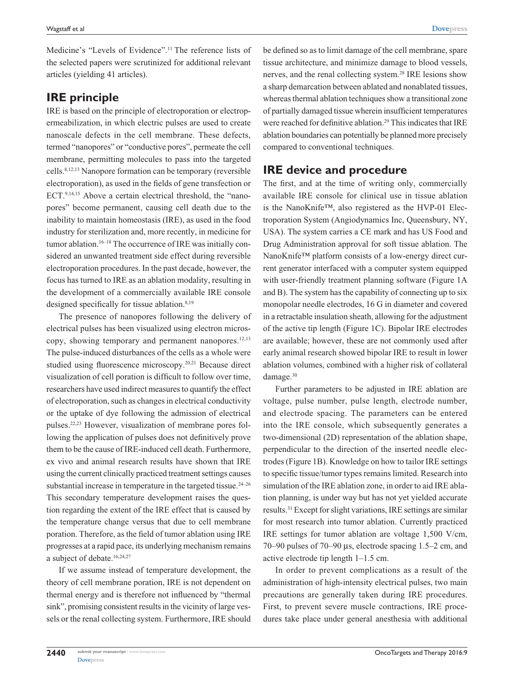Medicine's "Levels of Evidence".<sup>11</sup> The reference lists of the selected papers were scrutinized for additional relevant articles (yielding 41 articles).

# **IRE principle**

IRE is based on the principle of electroporation or electropermeabilization, in which electric pulses are used to create nanoscale defects in the cell membrane. These defects, termed "nanopores" or "conductive pores", permeate the cell membrane, permitting molecules to pass into the targeted cells.8,12,13 Nanopore formation can be temporary (reversible electroporation), as used in the fields of gene transfection or ECT.9,14,15 Above a certain electrical threshold, the "nanopores" become permanent, causing cell death due to the inability to maintain homeostasis (IRE), as used in the food industry for sterilization and, more recently, in medicine for tumor ablation.<sup>16–18</sup> The occurrence of IRE was initially considered an unwanted treatment side effect during reversible electroporation procedures. In the past decade, however, the focus has turned to IRE as an ablation modality, resulting in the development of a commercially available IRE console designed specifically for tissue ablation.<sup>8,19</sup>

The presence of nanopores following the delivery of electrical pulses has been visualized using electron microscopy, showing temporary and permanent nanopores.12,13 The pulse-induced disturbances of the cells as a whole were studied using fluorescence microscopy.<sup>20,21</sup> Because direct visualization of cell poration is difficult to follow over time, researchers have used indirect measures to quantify the effect of electroporation, such as changes in electrical conductivity or the uptake of dye following the admission of electrical pulses.22,23 However, visualization of membrane pores following the application of pulses does not definitively prove them to be the cause of IRE-induced cell death. Furthermore, ex vivo and animal research results have shown that IRE using the current clinically practiced treatment settings causes substantial increase in temperature in the targeted tissue. $24-26$ This secondary temperature development raises the question regarding the extent of the IRE effect that is caused by the temperature change versus that due to cell membrane poration. Therefore, as the field of tumor ablation using IRE progresses at a rapid pace, its underlying mechanism remains a subject of debate.<sup>16,24,27</sup>

If we assume instead of temperature development, the theory of cell membrane poration, IRE is not dependent on thermal energy and is therefore not influenced by "thermal sink", promising consistent results in the vicinity of large vessels or the renal collecting system. Furthermore, IRE should

be defined so as to limit damage of the cell membrane, spare tissue architecture, and minimize damage to blood vessels, nerves, and the renal collecting system.28 IRE lesions show a sharp demarcation between ablated and nonablated tissues, whereas thermal ablation techniques show a transitional zone of partially damaged tissue wherein insufficient temperatures were reached for definitive ablation.<sup>29</sup> This indicates that IRE ablation boundaries can potentially be planned more precisely compared to conventional techniques.

# **IRE device and procedure**

The first, and at the time of writing only, commercially available IRE console for clinical use in tissue ablation is the NanoKnife™, also registered as the HVP-01 Electroporation System (Angiodynamics Inc, Queensbury, NY, USA). The system carries a CE mark and has US Food and Drug Administration approval for soft tissue ablation. The NanoKnife™ platform consists of a low-energy direct current generator interfaced with a computer system equipped with user-friendly treatment planning software (Figure 1A and B). The system has the capability of connecting up to six monopolar needle electrodes, 16 G in diameter and covered in a retractable insulation sheath, allowing for the adjustment of the active tip length (Figure 1C). Bipolar IRE electrodes are available; however, these are not commonly used after early animal research showed bipolar IRE to result in lower ablation volumes, combined with a higher risk of collateral damage.30

Further parameters to be adjusted in IRE ablation are voltage, pulse number, pulse length, electrode number, and electrode spacing. The parameters can be entered into the IRE console, which subsequently generates a two-dimensional (2D) representation of the ablation shape, perpendicular to the direction of the inserted needle electrodes (Figure 1B). Knowledge on how to tailor IRE settings to specific tissue/tumor types remains limited. Research into simulation of the IRE ablation zone, in order to aid IRE ablation planning, is under way but has not yet yielded accurate results.31 Except for slight variations, IRE settings are similar for most research into tumor ablation. Currently practiced IRE settings for tumor ablation are voltage 1,500 V/cm, 70–90 pulses of 70–90 µs, electrode spacing 1.5–2 cm, and active electrode tip length 1–1.5 cm.

In order to prevent complications as a result of the administration of high-intensity electrical pulses, two main precautions are generally taken during IRE procedures. First, to prevent severe muscle contractions, IRE procedures take place under general anesthesia with additional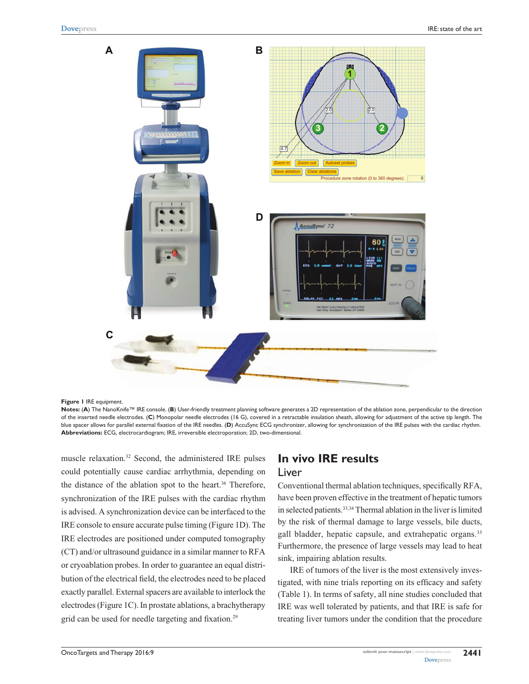

**Figure 1** IRE equipment.

**Notes:** (**A**) The NanoKnife™ IRE console. (**B**) User-friendly treatment planning software generates a 2D representation of the ablation zone, perpendicular to the direction of the inserted needle electrodes. (**C**) Monopolar needle electrodes (16 G), covered in a retractable insulation sheath, allowing for adjustment of the active tip length. The blue spacer allows for parallel external fixation of the IRE needles. (**D**) AccuSync ECG synchronizer, allowing for synchronization of the IRE pulses with the cardiac rhythm. **Abbreviations:** ECG, electrocardiogram; IRE, irreversible electroporation; 2D, two-dimensional.

muscle relaxation.32 Second, the administered IRE pulses could potentially cause cardiac arrhythmia, depending on the distance of the ablation spot to the heart.<sup>36</sup> Therefore, synchronization of the IRE pulses with the cardiac rhythm is advised. A synchronization device can be interfaced to the IRE console to ensure accurate pulse timing (Figure 1D). The IRE electrodes are positioned under computed tomography (CT) and/or ultrasound guidance in a similar manner to RFA or cryoablation probes. In order to guarantee an equal distribution of the electrical field, the electrodes need to be placed exactly parallel. External spacers are available to interlock the electrodes (Figure 1C). In prostate ablations, a brachytherapy grid can be used for needle targeting and fixation.29

# **In vivo IRE results** Liver

Conventional thermal ablation techniques, specifically RFA, have been proven effective in the treatment of hepatic tumors in selected patients.33,34 Thermal ablation in the liver is limited by the risk of thermal damage to large vessels, bile ducts, gall bladder, hepatic capsule, and extrahepatic organs.<sup>35</sup> Furthermore, the presence of large vessels may lead to heat sink, impairing ablation results.

IRE of tumors of the liver is the most extensively investigated, with nine trials reporting on its efficacy and safety (Table 1). In terms of safety, all nine studies concluded that IRE was well tolerated by patients, and that IRE is safe for treating liver tumors under the condition that the procedure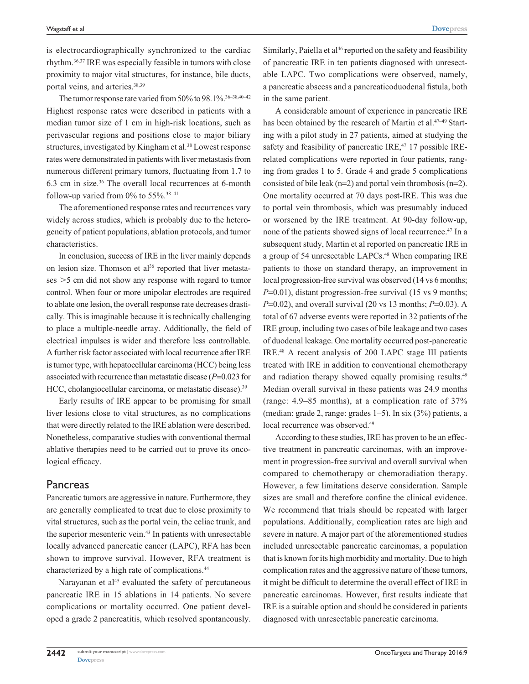is electrocardiographically synchronized to the cardiac rhythm.36,37 IRE was especially feasible in tumors with close proximity to major vital structures, for instance, bile ducts, portal veins, and arteries.38,39

The tumor response rate varied from  $50\%$  to  $98.1\%$ .<sup>36–38,40–42</sup> Highest response rates were described in patients with a median tumor size of 1 cm in high-risk locations, such as perivascular regions and positions close to major biliary structures, investigated by Kingham et al.<sup>38</sup> Lowest response rates were demonstrated in patients with liver metastasis from numerous different primary tumors, fluctuating from 1.7 to 6.3 cm in size.36 The overall local recurrences at 6-month follow-up varied from 0% to 55%.38–41

The aforementioned response rates and recurrences vary widely across studies, which is probably due to the heterogeneity of patient populations, ablation protocols, and tumor characteristics.

In conclusion, success of IRE in the liver mainly depends on lesion size. Thomson et  $al<sup>36</sup>$  reported that liver metasta $s$ es  $>5$  cm did not show any response with regard to tumor control. When four or more unipolar electrodes are required to ablate one lesion, the overall response rate decreases drastically. This is imaginable because it is technically challenging to place a multiple-needle array. Additionally, the field of electrical impulses is wider and therefore less controllable. A further risk factor associated with local recurrence after IRE is tumor type, with hepatocellular carcinoma (HCC) being less associated with recurrence than metastatic disease (*P*=0.023 for HCC, cholangiocellular carcinoma, or metastatic disease).<sup>39</sup>

Early results of IRE appear to be promising for small liver lesions close to vital structures, as no complications that were directly related to the IRE ablation were described. Nonetheless, comparative studies with conventional thermal ablative therapies need to be carried out to prove its oncological efficacy.

#### **Pancreas**

Pancreatic tumors are aggressive in nature. Furthermore, they are generally complicated to treat due to close proximity to vital structures, such as the portal vein, the celiac trunk, and the superior mesenteric vein.<sup>43</sup> In patients with unresectable locally advanced pancreatic cancer (LAPC), RFA has been shown to improve survival. However, RFA treatment is characterized by a high rate of complications.<sup>44</sup>

Narayanan et al<sup>45</sup> evaluated the safety of percutaneous pancreatic IRE in 15 ablations in 14 patients. No severe complications or mortality occurred. One patient developed a grade 2 pancreatitis, which resolved spontaneously.

Similarly, Paiella et al<sup>46</sup> reported on the safety and feasibility of pancreatic IRE in ten patients diagnosed with unresectable LAPC. Two complications were observed, namely, a pancreatic abscess and a pancreaticoduodenal fistula, both in the same patient.

A considerable amount of experience in pancreatic IRE has been obtained by the research of Martin et al.<sup>47-49</sup> Starting with a pilot study in 27 patients, aimed at studying the safety and feasibility of pancreatic IRE, $47$  17 possible IRErelated complications were reported in four patients, ranging from grades 1 to 5. Grade 4 and grade 5 complications consisted of bile leak (n=2) and portal vein thrombosis (n=2). One mortality occurred at 70 days post-IRE. This was due to portal vein thrombosis, which was presumably induced or worsened by the IRE treatment. At 90-day follow-up, none of the patients showed signs of local recurrence.47 In a subsequent study, Martin et al reported on pancreatic IRE in a group of 54 unresectable LAPCs.<sup>48</sup> When comparing IRE patients to those on standard therapy, an improvement in local progression-free survival was observed (14 vs 6 months; *P*=0.01), distant progression-free survival (15 vs 9 months; *P*=0.02), and overall survival (20 vs 13 months; *P*=0.03). A total of 67 adverse events were reported in 32 patients of the IRE group, including two cases of bile leakage and two cases of duodenal leakage. One mortality occurred post-pancreatic IRE.48 A recent analysis of 200 LAPC stage III patients treated with IRE in addition to conventional chemotherapy and radiation therapy showed equally promising results.<sup>49</sup> Median overall survival in these patients was 24.9 months (range: 4.9–85 months), at a complication rate of 37% (median: grade 2, range: grades 1–5). In six (3%) patients, a local recurrence was observed.<sup>49</sup>

According to these studies, IRE has proven to be an effective treatment in pancreatic carcinomas, with an improvement in progression-free survival and overall survival when compared to chemotherapy or chemoradiation therapy. However, a few limitations deserve consideration. Sample sizes are small and therefore confine the clinical evidence. We recommend that trials should be repeated with larger populations. Additionally, complication rates are high and severe in nature. A major part of the aforementioned studies included unresectable pancreatic carcinomas, a population that is known for its high morbidity and mortality. Due to high complication rates and the aggressive nature of these tumors, it might be difficult to determine the overall effect of IRE in pancreatic carcinomas. However, first results indicate that IRE is a suitable option and should be considered in patients diagnosed with unresectable pancreatic carcinoma.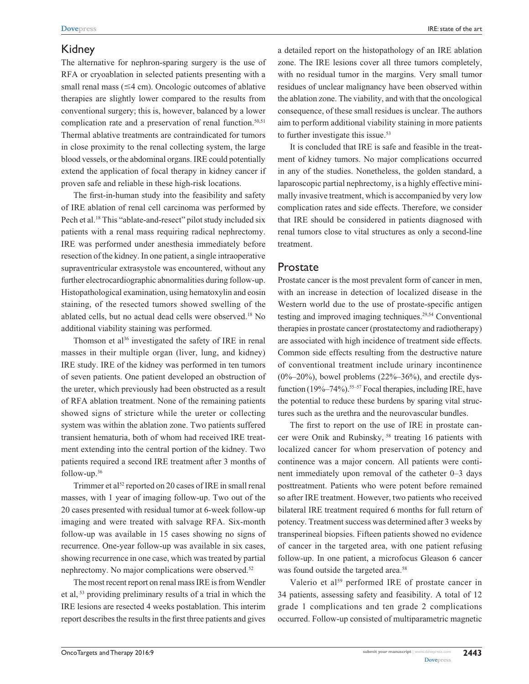## Kidney

The alternative for nephron-sparing surgery is the use of RFA or cryoablation in selected patients presenting with a small renal mass  $(\leq 4$  cm). Oncologic outcomes of ablative therapies are slightly lower compared to the results from conventional surgery; this is, however, balanced by a lower complication rate and a preservation of renal function.<sup>50,51</sup> Thermal ablative treatments are contraindicated for tumors in close proximity to the renal collecting system, the large blood vessels, or the abdominal organs. IRE could potentially extend the application of focal therapy in kidney cancer if proven safe and reliable in these high-risk locations.

The first-in-human study into the feasibility and safety of IRE ablation of renal cell carcinoma was performed by Pech et al.<sup>18</sup> This "ablate-and-resect" pilot study included six patients with a renal mass requiring radical nephrectomy. IRE was performed under anesthesia immediately before resection of the kidney. In one patient, a single intraoperative supraventricular extrasystole was encountered, without any further electrocardiographic abnormalities during follow-up. Histopathological examination, using hematoxylin and eosin staining, of the resected tumors showed swelling of the ablated cells, but no actual dead cells were observed.18 No additional viability staining was performed.

Thomson et al<sup>36</sup> investigated the safety of IRE in renal masses in their multiple organ (liver, lung, and kidney) IRE study. IRE of the kidney was performed in ten tumors of seven patients. One patient developed an obstruction of the ureter, which previously had been obstructed as a result of RFA ablation treatment. None of the remaining patients showed signs of stricture while the ureter or collecting system was within the ablation zone. Two patients suffered transient hematuria, both of whom had received IRE treatment extending into the central portion of the kidney. Two patients required a second IRE treatment after 3 months of follow-up.36

Trimmer et al<sup>52</sup> reported on 20 cases of IRE in small renal masses, with 1 year of imaging follow-up. Two out of the 20 cases presented with residual tumor at 6-week follow-up imaging and were treated with salvage RFA. Six-month follow-up was available in 15 cases showing no signs of recurrence. One-year follow-up was available in six cases, showing recurrence in one case, which was treated by partial nephrectomy. No major complications were observed.52

The most recent report on renal mass IRE is from Wendler et al, 53 providing preliminary results of a trial in which the IRE lesions are resected 4 weeks postablation. This interim report describes the results in the first three patients and gives a detailed report on the histopathology of an IRE ablation zone. The IRE lesions cover all three tumors completely, with no residual tumor in the margins. Very small tumor residues of unclear malignancy have been observed within the ablation zone. The viability, and with that the oncological consequence, of these small residues is unclear. The authors aim to perform additional viability staining in more patients to further investigate this issue.<sup>53</sup>

It is concluded that IRE is safe and feasible in the treatment of kidney tumors. No major complications occurred in any of the studies. Nonetheless, the golden standard, a laparoscopic partial nephrectomy, is a highly effective minimally invasive treatment, which is accompanied by very low complication rates and side effects. Therefore, we consider that IRE should be considered in patients diagnosed with renal tumors close to vital structures as only a second-line treatment.

### Prostate

Prostate cancer is the most prevalent form of cancer in men, with an increase in detection of localized disease in the Western world due to the use of prostate-specific antigen testing and improved imaging techniques.<sup>29,54</sup> Conventional therapies in prostate cancer (prostatectomy and radiotherapy) are associated with high incidence of treatment side effects. Common side effects resulting from the destructive nature of conventional treatment include urinary incontinence  $(0\%-20\%)$ , bowel problems  $(22\%-36\%)$ , and erectile dysfunction (19%–74%).<sup>55–57</sup> Focal therapies, including IRE, have the potential to reduce these burdens by sparing vital structures such as the urethra and the neurovascular bundles.

The first to report on the use of IRE in prostate cancer were Onik and Rubinsky, 58 treating 16 patients with localized cancer for whom preservation of potency and continence was a major concern. All patients were continent immediately upon removal of the catheter 0–3 days posttreatment. Patients who were potent before remained so after IRE treatment. However, two patients who received bilateral IRE treatment required 6 months for full return of potency. Treatment success was determined after 3 weeks by transperineal biopsies. Fifteen patients showed no evidence of cancer in the targeted area, with one patient refusing follow-up. In one patient, a microfocus Gleason 6 cancer was found outside the targeted area.<sup>58</sup>

Valerio et al<sup>59</sup> performed IRE of prostate cancer in 34 patients, assessing safety and feasibility. A total of 12 grade 1 complications and ten grade 2 complications occurred. Follow-up consisted of multiparametric magnetic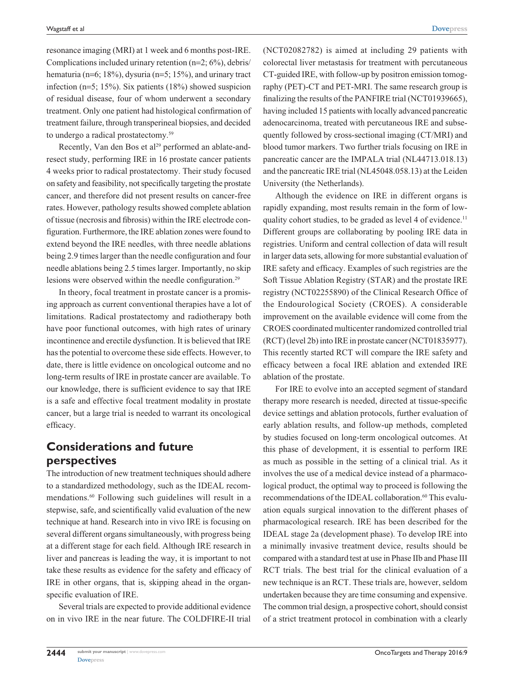resonance imaging (MRI) at 1 week and 6 months post-IRE. Complications included urinary retention (n=2; 6%), debris/ hematuria (n=6; 18%), dysuria (n=5; 15%), and urinary tract infection (n=5; 15%). Six patients (18%) showed suspicion of residual disease, four of whom underwent a secondary treatment. Only one patient had histological confirmation of treatment failure, through transperineal biopsies, and decided to undergo a radical prostatectomy.59

Recently, Van den Bos et al<sup>29</sup> performed an ablate-andresect study, performing IRE in 16 prostate cancer patients 4 weeks prior to radical prostatectomy. Their study focused on safety and feasibility, not specifically targeting the prostate cancer, and therefore did not present results on cancer-free rates. However, pathology results showed complete ablation of tissue (necrosis and fibrosis) within the IRE electrode configuration. Furthermore, the IRE ablation zones were found to extend beyond the IRE needles, with three needle ablations being 2.9 times larger than the needle configuration and four needle ablations being 2.5 times larger. Importantly, no skip lesions were observed within the needle configuration.<sup>29</sup>

In theory, focal treatment in prostate cancer is a promising approach as current conventional therapies have a lot of limitations. Radical prostatectomy and radiotherapy both have poor functional outcomes, with high rates of urinary incontinence and erectile dysfunction. It is believed that IRE has the potential to overcome these side effects. However, to date, there is little evidence on oncological outcome and no long-term results of IRE in prostate cancer are available. To our knowledge, there is sufficient evidence to say that IRE is a safe and effective focal treatment modality in prostate cancer, but a large trial is needed to warrant its oncological efficacy.

# **Considerations and future perspectives**

The introduction of new treatment techniques should adhere to a standardized methodology, such as the IDEAL recommendations.60 Following such guidelines will result in a stepwise, safe, and scientifically valid evaluation of the new technique at hand. Research into in vivo IRE is focusing on several different organs simultaneously, with progress being at a different stage for each field. Although IRE research in liver and pancreas is leading the way, it is important to not take these results as evidence for the safety and efficacy of IRE in other organs, that is, skipping ahead in the organspecific evaluation of IRE.

Several trials are expected to provide additional evidence on in vivo IRE in the near future. The COLDFIRE-II trial

(NCT02082782) is aimed at including 29 patients with colorectal liver metastasis for treatment with percutaneous CT-guided IRE, with follow-up by positron emission tomography (PET)-CT and PET-MRI. The same research group is finalizing the results of the PANFIRE trial (NCT01939665), having included 15 patients with locally advanced pancreatic adenocarcinoma, treated with percutaneous IRE and subsequently followed by cross-sectional imaging (CT/MRI) and blood tumor markers. Two further trials focusing on IRE in pancreatic cancer are the IMPALA trial (NL44713.018.13) and the pancreatic IRE trial (NL45048.058.13) at the Leiden University (the Netherlands).

Although the evidence on IRE in different organs is rapidly expanding, most results remain in the form of lowquality cohort studies, to be graded as level 4 of evidence.<sup>11</sup> Different groups are collaborating by pooling IRE data in registries. Uniform and central collection of data will result in larger data sets, allowing for more substantial evaluation of IRE safety and efficacy. Examples of such registries are the Soft Tissue Ablation Registry (STAR) and the prostate IRE registry (NCT02255890) of the Clinical Research Office of the Endourological Society (CROES). A considerable improvement on the available evidence will come from the CROES coordinated multicenter randomized controlled trial (RCT) (level 2b) into IRE in prostate cancer (NCT01835977). This recently started RCT will compare the IRE safety and efficacy between a focal IRE ablation and extended IRE ablation of the prostate.

For IRE to evolve into an accepted segment of standard therapy more research is needed, directed at tissue-specific device settings and ablation protocols, further evaluation of early ablation results, and follow-up methods, completed by studies focused on long-term oncological outcomes. At this phase of development, it is essential to perform IRE as much as possible in the setting of a clinical trial. As it involves the use of a medical device instead of a pharmacological product, the optimal way to proceed is following the recommendations of the IDEAL collaboration.<sup>60</sup> This evaluation equals surgical innovation to the different phases of pharmacological research. IRE has been described for the IDEAL stage 2a (development phase). To develop IRE into a minimally invasive treatment device, results should be compared with a standard test at use in Phase IIb and Phase III RCT trials. The best trial for the clinical evaluation of a new technique is an RCT. These trials are, however, seldom undertaken because they are time consuming and expensive. The common trial design, a prospective cohort, should consist of a strict treatment protocol in combination with a clearly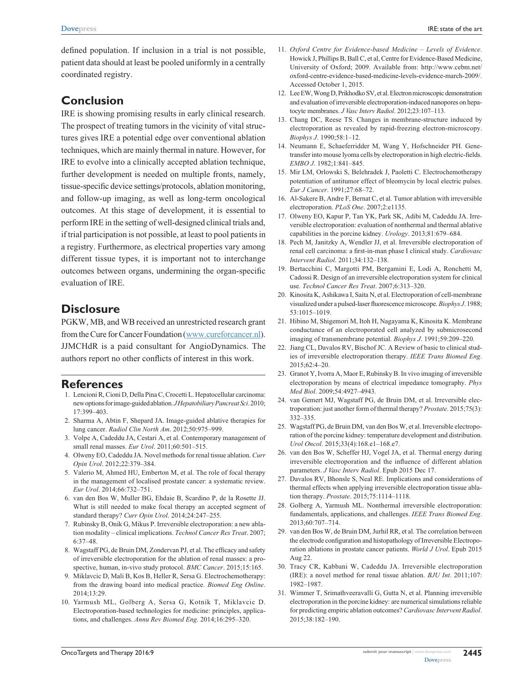defined population. If inclusion in a trial is not possible, patient data should at least be pooled uniformly in a centrally coordinated registry.

## **Conclusion**

IRE is showing promising results in early clinical research. The prospect of treating tumors in the vicinity of vital structures gives IRE a potential edge over conventional ablation techniques, which are mainly thermal in nature. However, for IRE to evolve into a clinically accepted ablation technique, further development is needed on multiple fronts, namely, tissue-specific device settings/protocols, ablation monitoring, and follow-up imaging, as well as long-term oncological outcomes. At this stage of development, it is essential to perform IRE in the setting of well-designed clinical trials and, if trial participation is not possible, at least to pool patients in a registry. Furthermore, as electrical properties vary among different tissue types, it is important not to interchange outcomes between organs, undermining the organ-specific evaluation of IRE.

## **Disclosure**

PGKW, MB, and WB received an unrestricted research grant from the Cure for Cancer Foundation [\(www.cureforcancer.nl\)](http://www.cureforcancer.nl). JJMCHdR is a paid consultant for AngioDynamics. The authors report no other conflicts of interest in this work.

### **References**

- 1. Lencioni R, Cioni D, Della Pina C, Crocetti L. Hepatocellular carcinoma: new options for image-guided ablation. *J Hepatobiliary Pancreat Sci*. 2010; 17:399–403.
- 2. Sharma A, Abtin F, Shepard JA. Image-guided ablative therapies for lung cancer. *Radiol Clin North Am*. 2012;50:975–999.
- 3. Volpe A, Cadeddu JA, Cestari A, et al. Contemporary management of small renal masses. *Eur Urol*. 2011;60:501–515.
- 4. Olweny EO, Cadeddu JA. Novel methods for renal tissue ablation. *Curr Opin Urol*. 2012;22:379–384.
- 5. Valerio M, Ahmed HU, Emberton M, et al. The role of focal therapy in the management of localised prostate cancer: a systematic review. *Eur Urol*. 2014;66:732–751.
- 6. van den Bos W, Muller BG, Ehdaie B, Scardino P, de la Rosette JJ. What is still needed to make focal therapy an accepted segment of standard therapy? *Curr Opin Urol*. 2014;24:247–255.
- 7. Rubinsky B, Onik G, Mikus P. Irreversible electroporation: a new ablation modality – clinical implications. *Technol Cancer Res Treat*. 2007; 6:37–48.
- 8. Wagstaff PG, de Bruin DM, Zondervan PJ, et al. The efficacy and safety of irreversible electroporation for the ablation of renal masses: a prospective, human, in-vivo study protocol. *BMC Cancer*. 2015;15:165.
- 9. Miklavcic D, Mali B, Kos B, Heller R, Sersa G. Electrochemotherapy: from the drawing board into medical practice. *Biomed Eng Online*. 2014;13:29.
- 10. Yarmush ML, Golberg A, Sersa G, Kotnik T, Miklavcic D. Electroporation-based technologies for medicine: principles, applications, and challenges. *Annu Rev Biomed Eng*. 2014;16:295–320.
- 11. *Oxford Centre for Evidence-based Medicine Levels of Evidence*. Howick J, Phillips B, Ball C, et al, Centre for Evidence-Based Medicine, University of Oxford; 2009. Available from: [http://www.cebm.net/](http://www.cebm.net/oxford-centre-evidence-based-medicine-levels-evidence-march-2009/) [oxford-centre-evidence-based-medicine-levels-evidence-march-2009/](http://www.cebm.net/oxford-centre-evidence-based-medicine-levels-evidence-march-2009/). Accessed October 1, 2015.
- 12. Lee EW, Wong D, Prikhodko SV, et al. Electron microscopic demonstration and evaluation of irreversible electroporation-induced nanopores on hepatocyte membranes. *J Vasc Interv Radiol*. 2012;23:107–113.
- 13. Chang DC, Reese TS. Changes in membrane-structure induced by electroporation as revealed by rapid-freezing electron-microscopy. *Biophys J*. 1990;58:1–12.
- 14. Neumann E, Schaeferridder M, Wang Y, Hofschneider PH. Genetransfer into mouse lyoma cells by electroporation in high electric-fields. *EMBO J*. 1982;1:841–845.
- 15. Mir LM, Orlowski S, Belehradek J, Paoletti C. Electrochemotherapy potentiation of antitumor effect of bleomycin by local electric pulses. *Eur J Cancer*. 1991;27:68–72.
- 16. Al-Sakere B, Andre F, Bernat C, et al. Tumor ablation with irreversible electroporation. *PLoS One*. 2007;2:e1135.
- 17. Olweny EO, Kapur P, Tan YK, Park SK, Adibi M, Cadeddu JA. Irreversible electroporation: evaluation of nonthermal and thermal ablative capabilities in the porcine kidney. *Urology*. 2013;81:679–684.
- 18. Pech M, Janitzky A, Wendler JJ, et al. Irreversible electroporation of renal cell carcinoma: a first-in-man phase I clinical study. *Cardiovasc Intervent Radiol*. 2011;34:132–138.
- 19. Bertacchini C, Margotti PM, Bergamini E, Lodi A, Ronchetti M, Cadossi R. Design of an irreversible electroporation system for clinical use. *Technol Cancer Res Treat*. 2007;6:313–320.
- 20. Kinosita K, Ashikawa I, Saita N, et al. Electroporation of cell-membrane visualized under a pulsed-laser fluorescence microscope. *Biophys J*. 1988; 53:1015–1019.
- 21. Hibino M, Shigemori M, Itoh H, Nagayama K, Kinosita K. Membrane conductance of an electroporated cell analyzed by submicrosecond imaging of transmembrane potential. *Biophys J*. 1991;59:209–220.
- 22. Jiang CL, Davalos RV, Bischof JC. A Review of basic to clinical studies of irreversible electroporation therapy. *IEEE Trans Biomed Eng*. 2015;62:4–20.
- 23. Granot Y, Ivorra A, Maor E, Rubinsky B. In vivo imaging of irreversible electroporation by means of electrical impedance tomography. *Phys Med Biol*. 2009;54:4927–4943.
- 24. van Gemert MJ, Wagstaff PG, de Bruin DM, et al. Irreversible electroporation: just another form of thermal therapy? *Prostate*. 2015;75(3): 332–335.
- 25. Wagstaff PG, de Bruin DM, van den Bos W, et al. Irreversible electroporation of the porcine kidney: temperature development and distribution. *Urol Oncol*. 2015;33(4):168.e1–168.e7.
- 26. van den Bos W, Scheffer HJ, Vogel JA, et al. Thermal energy during irreversible electroporation and the influence of different ablation parameters. *J Vasc Interv Radiol*. Epub 2015 Dec 17.
- 27. Davalos RV, Bhonsle S, Neal RE. Implications and considerations of thermal effects when applying irreversible electroporation tissue ablation therapy. *Prostate*. 2015;75:1114–1118.
- 28. Golberg A, Yarmush ML. Nonthermal irreversible electroporation: fundamentals, applications, and challenges. *IEEE Trans Biomed Eng*. 2013;60:707–714.
- 29. van den Bos W, de Bruin DM, Jurhil RR, et al. The correlation between the electrode configuration and histopathology of Irreversible Electroporation ablations in prostate cancer patients. *World J Urol*. Epub 2015 Aug 22.
- 30. Tracy CR, Kabbani W, Cadeddu JA. Irreversible electroporation (IRE): a novel method for renal tissue ablation. *BJU Int*. 2011;107: 1982–1987.
- 31. Wimmer T, Srimathveeravalli G, Gutta N, et al. Planning irreversible electroporation in the porcine kidney: are numerical simulations reliable for predicting empiric ablation outcomes? *Cardiovasc Intervent Radiol*. 2015;38:182–190.